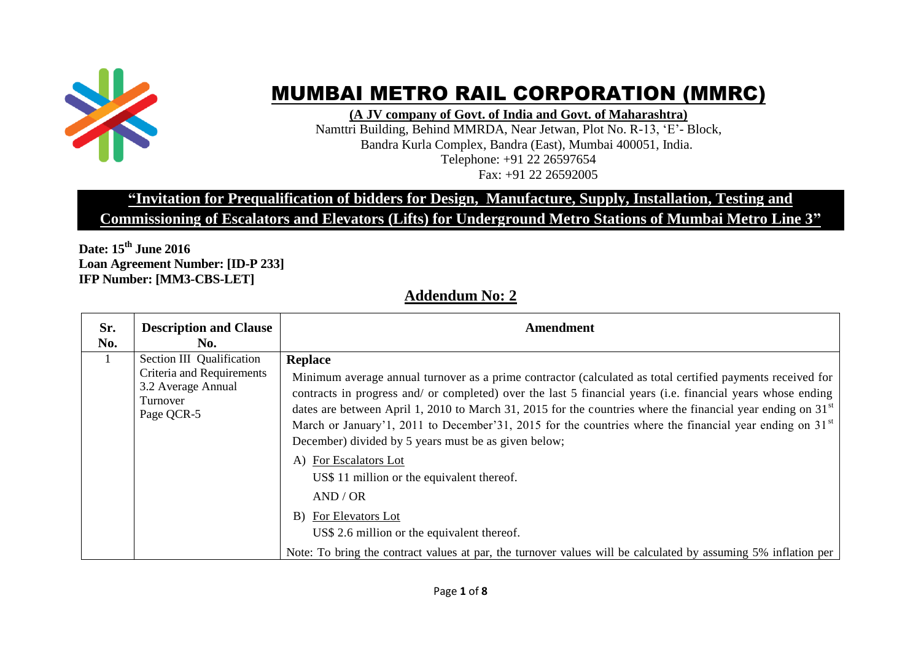

## MUMBAI METRO RAIL CORPORATION (MMRC)

**(A JV company of Govt. of India and Govt. of Maharashtra)**

Namttri Building, Behind MMRDA, Near Jetwan, Plot No. R-13, "E"- Block, Bandra Kurla Complex, Bandra (East), Mumbai 400051, India. Telephone: +91 22 26597654 Fax: +91 22 26592005

## **"Invitation for Prequalification of bidders for Design, Manufacture, Supply, Installation, Testing and**

**Commissioning of Escalators and Elevators (Lifts) for Underground Metro Stations of Mumbai Metro Line 3"**

**Date: 15th June 2016 Loan Agreement Number: [ID-P 233] IFP Number: [MM3-CBS-LET]**

## **Addendum No: 2**

| Sr.<br>No. | <b>Description and Clause</b><br>No.                                                                   | <b>Amendment</b>                                                                                                                                                                                                                                                                                                                                                                                                                                                                                                                                                                                                                                                                                                                                                                                                                     |
|------------|--------------------------------------------------------------------------------------------------------|--------------------------------------------------------------------------------------------------------------------------------------------------------------------------------------------------------------------------------------------------------------------------------------------------------------------------------------------------------------------------------------------------------------------------------------------------------------------------------------------------------------------------------------------------------------------------------------------------------------------------------------------------------------------------------------------------------------------------------------------------------------------------------------------------------------------------------------|
| $\perp$    | Section III Qualification<br>Criteria and Requirements<br>3.2 Average Annual<br>Turnover<br>Page QCR-5 | <b>Replace</b><br>Minimum average annual turnover as a prime contractor (calculated as total certified payments received for<br>contracts in progress and/ or completed) over the last 5 financial years (i.e. financial years whose ending<br>dates are between April 1, 2010 to March 31, 2015 for the countries where the financial year ending on 31 <sup>st</sup><br>March or January'1, 2011 to December'31, 2015 for the countries where the financial year ending on 31 <sup>st</sup><br>December) divided by 5 years must be as given below;<br>A) For Escalators Lot<br>US\$ 11 million or the equivalent thereof.<br>AND / OR<br>For Elevators Lot<br>B)<br>US\$ 2.6 million or the equivalent thereof.<br>Note: To bring the contract values at par, the turnover values will be calculated by assuming 5% inflation per |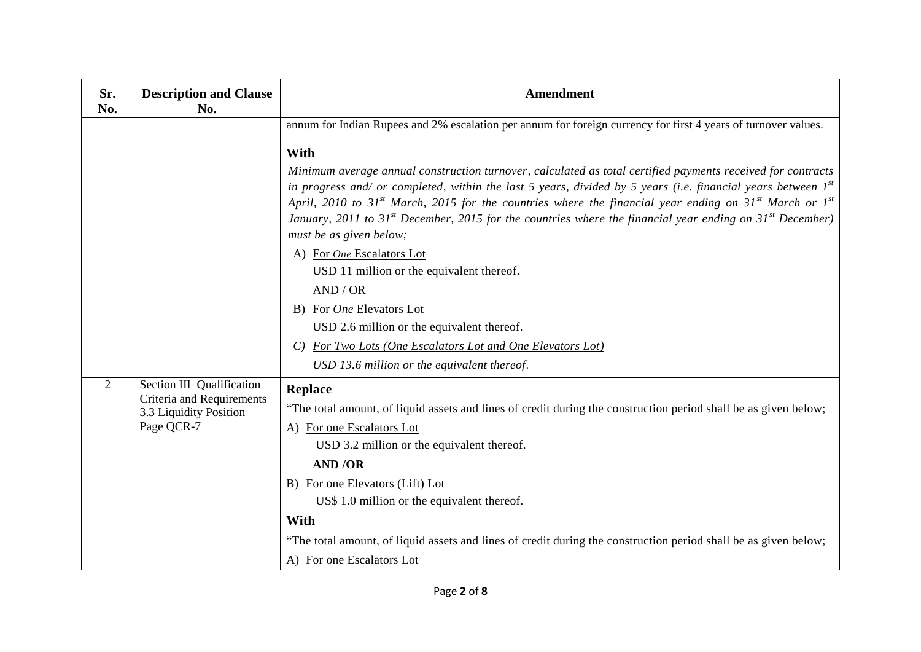| Sr.<br>No. | <b>Description and Clause</b><br>No.                              | <b>Amendment</b>                                                                                                                                                                                                                                                                                                                                                                                                                                                                                                                              |
|------------|-------------------------------------------------------------------|-----------------------------------------------------------------------------------------------------------------------------------------------------------------------------------------------------------------------------------------------------------------------------------------------------------------------------------------------------------------------------------------------------------------------------------------------------------------------------------------------------------------------------------------------|
|            |                                                                   | annum for Indian Rupees and 2% escalation per annum for foreign currency for first 4 years of turnover values.                                                                                                                                                                                                                                                                                                                                                                                                                                |
|            |                                                                   | With                                                                                                                                                                                                                                                                                                                                                                                                                                                                                                                                          |
|            |                                                                   | Minimum average annual construction turnover, calculated as total certified payments received for contracts<br>in progress and/ or completed, within the last 5 years, divided by 5 years (i.e. financial years between $I^{st}$<br>April, 2010 to 31 <sup>st</sup> March, 2015 for the countries where the financial year ending on 31 <sup>st</sup> March or 1 <sup>st</sup><br>January, 2011 to 31 <sup>st</sup> December, 2015 for the countries where the financial year ending on 31 <sup>st</sup> December)<br>must be as given below; |
|            |                                                                   | A) For One Escalators Lot                                                                                                                                                                                                                                                                                                                                                                                                                                                                                                                     |
|            |                                                                   | USD 11 million or the equivalent thereof.                                                                                                                                                                                                                                                                                                                                                                                                                                                                                                     |
|            |                                                                   | AND / OR                                                                                                                                                                                                                                                                                                                                                                                                                                                                                                                                      |
|            |                                                                   | For One Elevators Lot<br>B)                                                                                                                                                                                                                                                                                                                                                                                                                                                                                                                   |
|            |                                                                   | USD 2.6 million or the equivalent thereof.                                                                                                                                                                                                                                                                                                                                                                                                                                                                                                    |
|            |                                                                   | For Two Lots (One Escalators Lot and One Elevators Lot)                                                                                                                                                                                                                                                                                                                                                                                                                                                                                       |
|            |                                                                   | USD 13.6 million or the equivalent thereof.                                                                                                                                                                                                                                                                                                                                                                                                                                                                                                   |
| 2          | Section III Qualification                                         | Replace                                                                                                                                                                                                                                                                                                                                                                                                                                                                                                                                       |
|            | Criteria and Requirements<br>3.3 Liquidity Position<br>Page QCR-7 | "The total amount, of liquid assets and lines of credit during the construction period shall be as given below;                                                                                                                                                                                                                                                                                                                                                                                                                               |
|            |                                                                   | A) For one Escalators Lot                                                                                                                                                                                                                                                                                                                                                                                                                                                                                                                     |
|            |                                                                   | USD 3.2 million or the equivalent thereof.                                                                                                                                                                                                                                                                                                                                                                                                                                                                                                    |
|            |                                                                   | <b>AND/OR</b>                                                                                                                                                                                                                                                                                                                                                                                                                                                                                                                                 |
|            |                                                                   | B) For one Elevators (Lift) Lot                                                                                                                                                                                                                                                                                                                                                                                                                                                                                                               |
|            |                                                                   | US\$ 1.0 million or the equivalent thereof.                                                                                                                                                                                                                                                                                                                                                                                                                                                                                                   |
|            |                                                                   | <b>With</b>                                                                                                                                                                                                                                                                                                                                                                                                                                                                                                                                   |
|            |                                                                   | "The total amount, of liquid assets and lines of credit during the construction period shall be as given below;                                                                                                                                                                                                                                                                                                                                                                                                                               |
|            |                                                                   | A) For one Escalators Lot                                                                                                                                                                                                                                                                                                                                                                                                                                                                                                                     |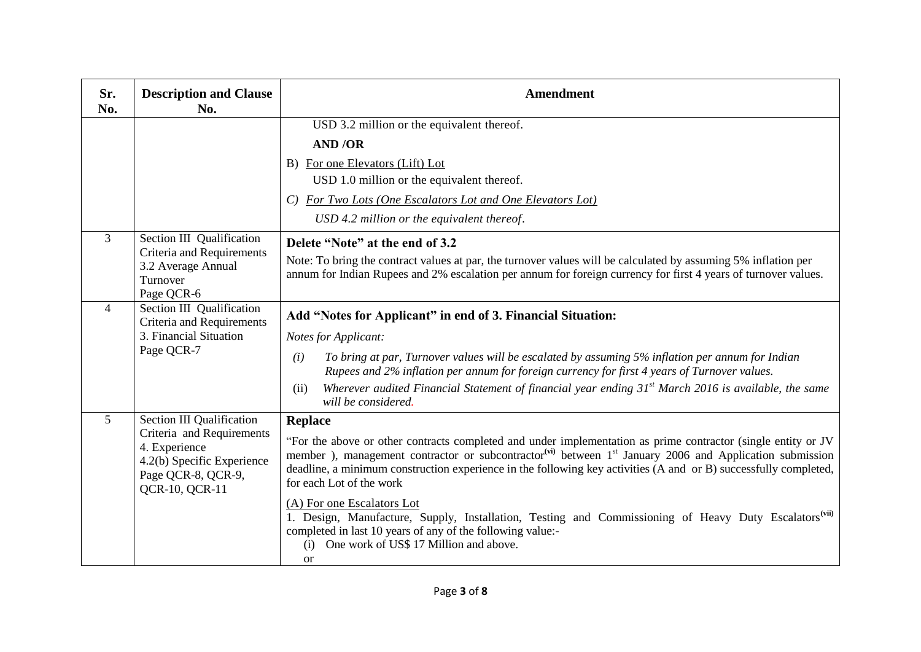| Sr.<br>No.     | <b>Description and Clause</b><br>No.                                                                                                          | <b>Amendment</b>                                                                                                                                                                                                                                                                                                                                                                                                                                                                                                                                                                                                                                                                               |
|----------------|-----------------------------------------------------------------------------------------------------------------------------------------------|------------------------------------------------------------------------------------------------------------------------------------------------------------------------------------------------------------------------------------------------------------------------------------------------------------------------------------------------------------------------------------------------------------------------------------------------------------------------------------------------------------------------------------------------------------------------------------------------------------------------------------------------------------------------------------------------|
|                |                                                                                                                                               | USD 3.2 million or the equivalent thereof.<br><b>AND/OR</b><br>B) For one Elevators (Lift) Lot<br>USD 1.0 million or the equivalent thereof.<br>C) For Two Lots (One Escalators Lot and One Elevators Lot)<br>USD 4.2 million or the equivalent thereof.                                                                                                                                                                                                                                                                                                                                                                                                                                       |
| 3              | Section III Qualification<br>Criteria and Requirements<br>3.2 Average Annual<br>Turnover<br>Page QCR-6                                        | Delete "Note" at the end of 3.2<br>Note: To bring the contract values at par, the turnover values will be calculated by assuming 5% inflation per<br>annum for Indian Rupees and 2% escalation per annum for foreign currency for first 4 years of turnover values.                                                                                                                                                                                                                                                                                                                                                                                                                            |
| $\overline{4}$ | Section III Qualification<br>Criteria and Requirements<br>3. Financial Situation<br>Page QCR-7                                                | Add "Notes for Applicant" in end of 3. Financial Situation:<br><b>Notes for Applicant:</b><br>To bring at par, Turnover values will be escalated by assuming 5% inflation per annum for Indian<br>(i)<br>Rupees and 2% inflation per annum for foreign currency for first 4 years of Turnover values.<br>Wherever audited Financial Statement of financial year ending $31st$ March 2016 is available, the same<br>(ii)<br>will be considered.                                                                                                                                                                                                                                                 |
| 5              | Section III Qualification<br>Criteria and Requirements<br>4. Experience<br>4.2(b) Specific Experience<br>Page QCR-8, QCR-9,<br>QCR-10, QCR-11 | <b>Replace</b><br>"For the above or other contracts completed and under implementation as prime contractor (single entity or JV<br>member), management contractor or subcontractor <sup>(vi)</sup> between 1 <sup>st</sup> January 2006 and Application submission<br>deadline, a minimum construction experience in the following key activities (A and or B) successfully completed,<br>for each Lot of the work<br>(A) For one Escalators Lot<br>1. Design, Manufacture, Supply, Installation, Testing and Commissioning of Heavy Duty Escalators <sup>(vii)</sup><br>completed in last 10 years of any of the following value:-<br>(i) One work of US\$ 17 Million and above.<br><b>or</b> |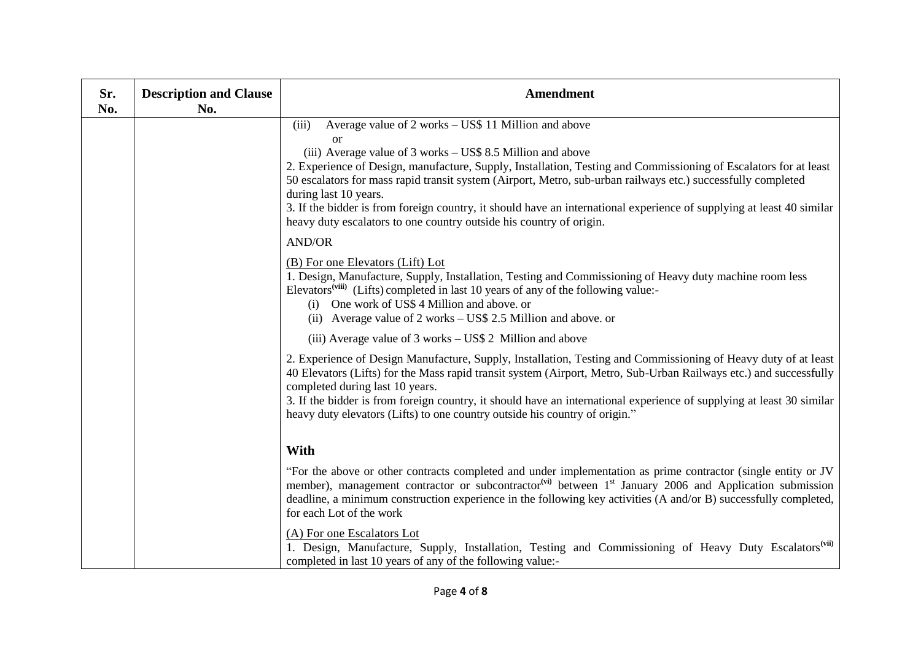| Sr.<br>No. | <b>Description and Clause</b><br>No. | <b>Amendment</b>                                                                                                                                                                                                                                                                                                                                                                                                                                                                                                                                                                                           |
|------------|--------------------------------------|------------------------------------------------------------------------------------------------------------------------------------------------------------------------------------------------------------------------------------------------------------------------------------------------------------------------------------------------------------------------------------------------------------------------------------------------------------------------------------------------------------------------------------------------------------------------------------------------------------|
|            |                                      | Average value of 2 works – US\$ 11 Million and above<br>(iii)<br><sub>or</sub><br>(iii) Average value of 3 works – US\$ 8.5 Million and above<br>2. Experience of Design, manufacture, Supply, Installation, Testing and Commissioning of Escalators for at least<br>50 escalators for mass rapid transit system (Airport, Metro, sub-urban railways etc.) successfully completed<br>during last 10 years.<br>3. If the bidder is from foreign country, it should have an international experience of supplying at least 40 similar<br>heavy duty escalators to one country outside his country of origin. |
|            |                                      | <b>AND/OR</b><br>(B) For one Elevators (Lift) Lot<br>1. Design, Manufacture, Supply, Installation, Testing and Commissioning of Heavy duty machine room less<br>Elevators <sup>(viii)</sup> (Lifts) completed in last 10 years of any of the following value:-<br>(i) One work of US\$ 4 Million and above. or<br>(ii) Average value of 2 works – US\$ 2.5 Million and above. or                                                                                                                                                                                                                           |
|            |                                      | (iii) Average value of 3 works – US\$ 2 Million and above<br>2. Experience of Design Manufacture, Supply, Installation, Testing and Commissioning of Heavy duty of at least<br>40 Elevators (Lifts) for the Mass rapid transit system (Airport, Metro, Sub-Urban Railways etc.) and successfully<br>completed during last 10 years.<br>3. If the bidder is from foreign country, it should have an international experience of supplying at least 30 similar<br>heavy duty elevators (Lifts) to one country outside his country of origin."                                                                |
|            |                                      | <b>With</b><br>"For the above or other contracts completed and under implementation as prime contractor (single entity or JV<br>member), management contractor or subcontractor <sup>(vi)</sup> between 1 <sup>st</sup> January 2006 and Application submission<br>deadline, a minimum construction experience in the following key activities (A and/or B) successfully completed,<br>for each Lot of the work                                                                                                                                                                                            |
|            |                                      | (A) For one Escalators Lot<br>1. Design, Manufacture, Supply, Installation, Testing and Commissioning of Heavy Duty Escalators <sup>(vii)</sup><br>completed in last 10 years of any of the following value:-                                                                                                                                                                                                                                                                                                                                                                                              |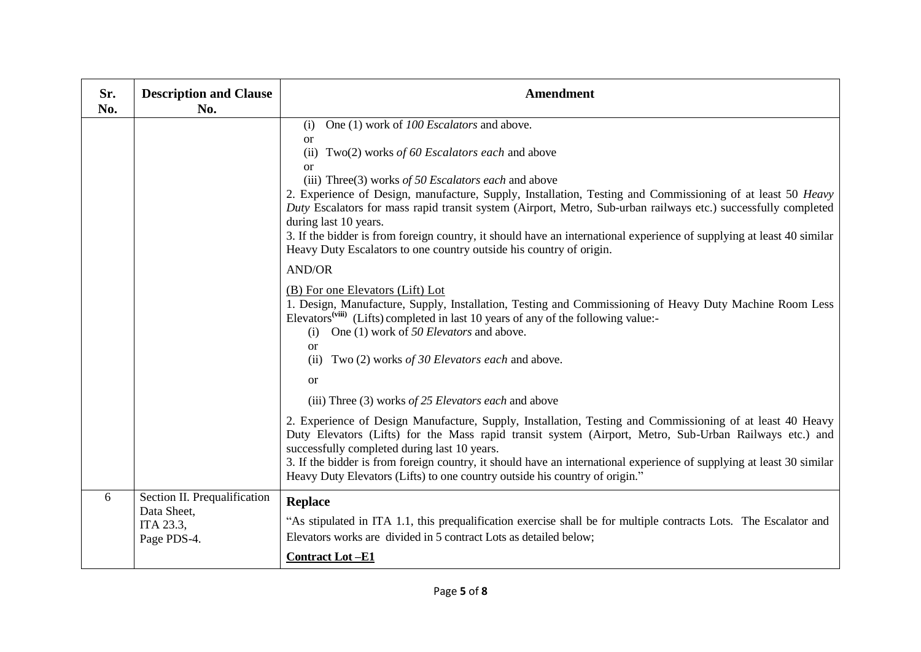| Sr.<br>No. | <b>Description and Clause</b><br>No.                                    | <b>Amendment</b>                                                                                                                                                                                                                                                                                                                                                                                                                                                                                                                                                                                                                                        |
|------------|-------------------------------------------------------------------------|---------------------------------------------------------------------------------------------------------------------------------------------------------------------------------------------------------------------------------------------------------------------------------------------------------------------------------------------------------------------------------------------------------------------------------------------------------------------------------------------------------------------------------------------------------------------------------------------------------------------------------------------------------|
|            |                                                                         | One (1) work of 100 Escalators and above.<br>(i)<br><b>or</b><br>(ii)<br>Two(2) works of 60 Escalators each and above<br><sub>or</sub><br>(iii) Three(3) works of 50 Escalators each and above<br>2. Experience of Design, manufacture, Supply, Installation, Testing and Commissioning of at least 50 Heavy<br>Duty Escalators for mass rapid transit system (Airport, Metro, Sub-urban railways etc.) successfully completed<br>during last 10 years.<br>3. If the bidder is from foreign country, it should have an international experience of supplying at least 40 similar<br>Heavy Duty Escalators to one country outside his country of origin. |
|            |                                                                         | <b>AND/OR</b><br>(B) For one Elevators (Lift) Lot<br>1. Design, Manufacture, Supply, Installation, Testing and Commissioning of Heavy Duty Machine Room Less<br>Elevators <sup>(viii)</sup> (Lifts) completed in last 10 years of any of the following value:-<br>One (1) work of 50 Elevators and above.<br>(i)<br>or                                                                                                                                                                                                                                                                                                                                  |
|            |                                                                         | (ii) Two (2) works of 30 Elevators each and above.<br><sub>or</sub><br>(iii) Three $(3)$ works of 25 Elevators each and above<br>2. Experience of Design Manufacture, Supply, Installation, Testing and Commissioning of at least 40 Heavy<br>Duty Elevators (Lifts) for the Mass rapid transit system (Airport, Metro, Sub-Urban Railways etc.) and<br>successfully completed during last 10 years.<br>3. If the bidder is from foreign country, it should have an international experience of supplying at least 30 similar<br>Heavy Duty Elevators (Lifts) to one country outside his country of origin."                                            |
| 6          | Section II. Prequalification<br>Data Sheet,<br>ITA 23.3,<br>Page PDS-4. | <b>Replace</b><br>"As stipulated in ITA 1.1, this prequalification exercise shall be for multiple contracts Lots. The Escalator and<br>Elevators works are divided in 5 contract Lots as detailed below;<br><b>Contract Lot-E1</b>                                                                                                                                                                                                                                                                                                                                                                                                                      |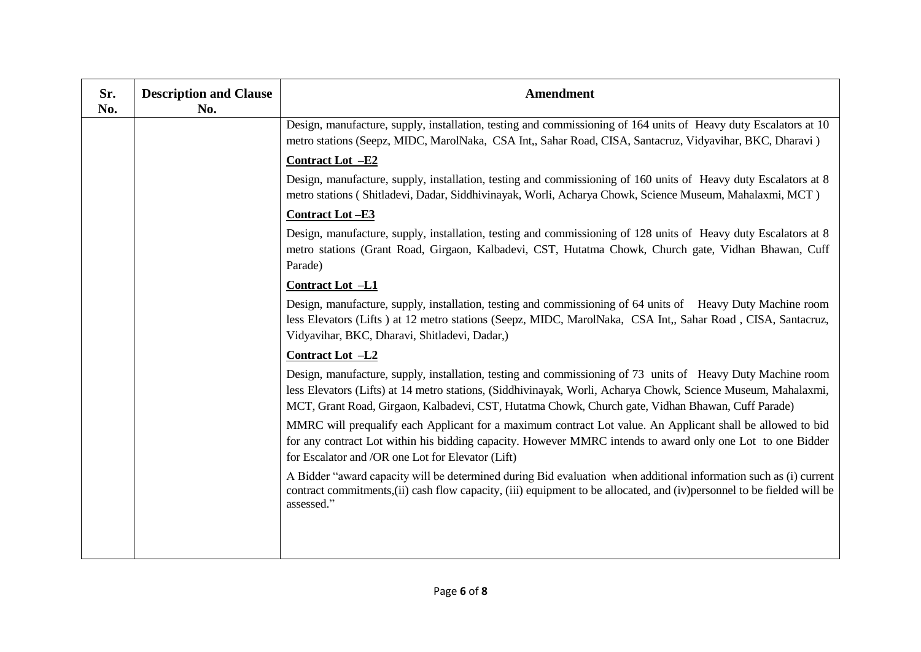| Sr.<br>No. | <b>Description and Clause</b><br>No. | Amendment                                                                                                                                                                                                                                                                                                                         |
|------------|--------------------------------------|-----------------------------------------------------------------------------------------------------------------------------------------------------------------------------------------------------------------------------------------------------------------------------------------------------------------------------------|
|            |                                      | Design, manufacture, supply, installation, testing and commissioning of 164 units of Heavy duty Escalators at 10<br>metro stations (Seepz, MIDC, MarolNaka, CSA Int., Sahar Road, CISA, Santacruz, Vidyavihar, BKC, Dharavi)                                                                                                      |
|            |                                      | <b>Contract Lot -E2</b>                                                                                                                                                                                                                                                                                                           |
|            |                                      | Design, manufacture, supply, installation, testing and commissioning of 160 units of Heavy duty Escalators at 8<br>metro stations (Shitladevi, Dadar, Siddhivinayak, Worli, Acharya Chowk, Science Museum, Mahalaxmi, MCT)                                                                                                        |
|            |                                      | <b>Contract Lot-E3</b>                                                                                                                                                                                                                                                                                                            |
|            |                                      | Design, manufacture, supply, installation, testing and commissioning of 128 units of Heavy duty Escalators at 8<br>metro stations (Grant Road, Girgaon, Kalbadevi, CST, Hutatma Chowk, Church gate, Vidhan Bhawan, Cuff<br>Parade)                                                                                                |
|            |                                      | <b>Contract Lot -L1</b>                                                                                                                                                                                                                                                                                                           |
|            |                                      | Design, manufacture, supply, installation, testing and commissioning of 64 units of Heavy Duty Machine room<br>less Elevators (Lifts) at 12 metro stations (Seepz, MIDC, MarolNaka, CSA Int., Sahar Road, CISA, Santacruz,<br>Vidyavihar, BKC, Dharavi, Shitladevi, Dadar,)                                                       |
|            |                                      | <b>Contract Lot -L2</b>                                                                                                                                                                                                                                                                                                           |
|            |                                      | Design, manufacture, supply, installation, testing and commissioning of 73 units of Heavy Duty Machine room<br>less Elevators (Lifts) at 14 metro stations, (Siddhivinayak, Worli, Acharya Chowk, Science Museum, Mahalaxmi,<br>MCT, Grant Road, Girgaon, Kalbadevi, CST, Hutatma Chowk, Church gate, Vidhan Bhawan, Cuff Parade) |
|            |                                      | MMRC will prequalify each Applicant for a maximum contract Lot value. An Applicant shall be allowed to bid<br>for any contract Lot within his bidding capacity. However MMRC intends to award only one Lot to one Bidder<br>for Escalator and /OR one Lot for Elevator (Lift)                                                     |
|            |                                      | A Bidder "award capacity will be determined during Bid evaluation when additional information such as (i) current<br>contract commitments, (ii) cash flow capacity, (iii) equipment to be allocated, and (iv) personnel to be fielded will be<br>assessed."                                                                       |
|            |                                      |                                                                                                                                                                                                                                                                                                                                   |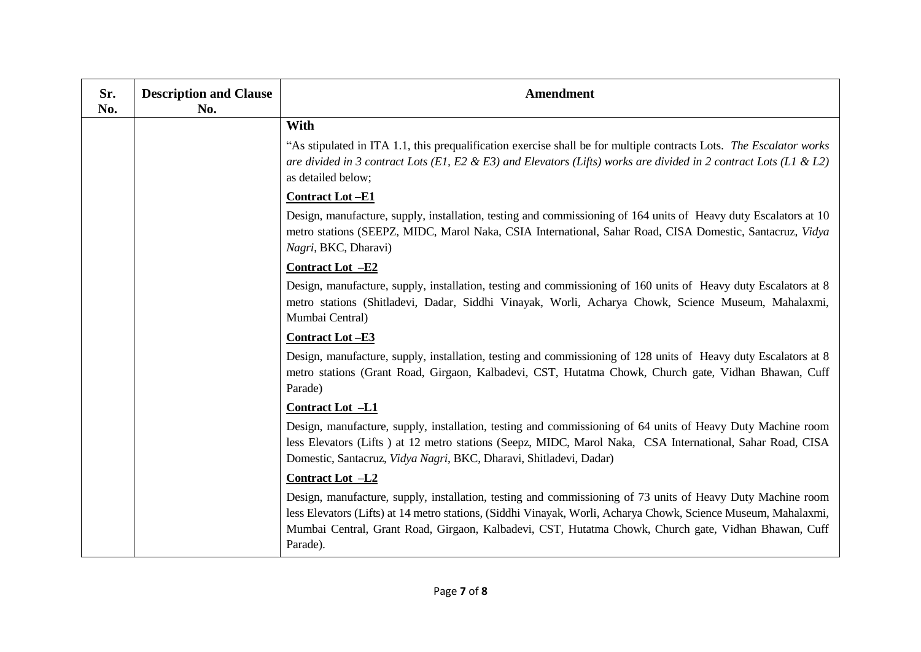| Sr.<br>No. | <b>Description and Clause</b><br>No. | <b>Amendment</b>                                                                                                                                                                                                                                                                                                                                  |
|------------|--------------------------------------|---------------------------------------------------------------------------------------------------------------------------------------------------------------------------------------------------------------------------------------------------------------------------------------------------------------------------------------------------|
|            |                                      | With                                                                                                                                                                                                                                                                                                                                              |
|            |                                      | "As stipulated in ITA 1.1, this prequalification exercise shall be for multiple contracts Lots. The Escalator works<br>are divided in 3 contract Lots (E1, E2 & E3) and Elevators (Lifts) works are divided in 2 contract Lots (L1 & L2)<br>as detailed below;                                                                                    |
|            |                                      | <b>Contract Lot-E1</b>                                                                                                                                                                                                                                                                                                                            |
|            |                                      | Design, manufacture, supply, installation, testing and commissioning of 164 units of Heavy duty Escalators at 10<br>metro stations (SEEPZ, MIDC, Marol Naka, CSIA International, Sahar Road, CISA Domestic, Santacruz, Vidya<br>Nagri, BKC, Dharavi)                                                                                              |
|            |                                      | Contract Lot -E2                                                                                                                                                                                                                                                                                                                                  |
|            |                                      | Design, manufacture, supply, installation, testing and commissioning of 160 units of Heavy duty Escalators at 8<br>metro stations (Shitladevi, Dadar, Siddhi Vinayak, Worli, Acharya Chowk, Science Museum, Mahalaxmi,<br>Mumbai Central)                                                                                                         |
|            |                                      | <b>Contract Lot-E3</b>                                                                                                                                                                                                                                                                                                                            |
|            |                                      | Design, manufacture, supply, installation, testing and commissioning of 128 units of Heavy duty Escalators at 8<br>metro stations (Grant Road, Girgaon, Kalbadevi, CST, Hutatma Chowk, Church gate, Vidhan Bhawan, Cuff<br>Parade)                                                                                                                |
|            |                                      | Contract Lot -L1                                                                                                                                                                                                                                                                                                                                  |
|            |                                      | Design, manufacture, supply, installation, testing and commissioning of 64 units of Heavy Duty Machine room<br>less Elevators (Lifts) at 12 metro stations (Seepz, MIDC, Marol Naka, CSA International, Sahar Road, CISA<br>Domestic, Santacruz, Vidya Nagri, BKC, Dharavi, Shitladevi, Dadar)                                                    |
|            |                                      | Contract Lot -L2                                                                                                                                                                                                                                                                                                                                  |
|            |                                      | Design, manufacture, supply, installation, testing and commissioning of 73 units of Heavy Duty Machine room<br>less Elevators (Lifts) at 14 metro stations, (Siddhi Vinayak, Worli, Acharya Chowk, Science Museum, Mahalaxmi,<br>Mumbai Central, Grant Road, Girgaon, Kalbadevi, CST, Hutatma Chowk, Church gate, Vidhan Bhawan, Cuff<br>Parade). |